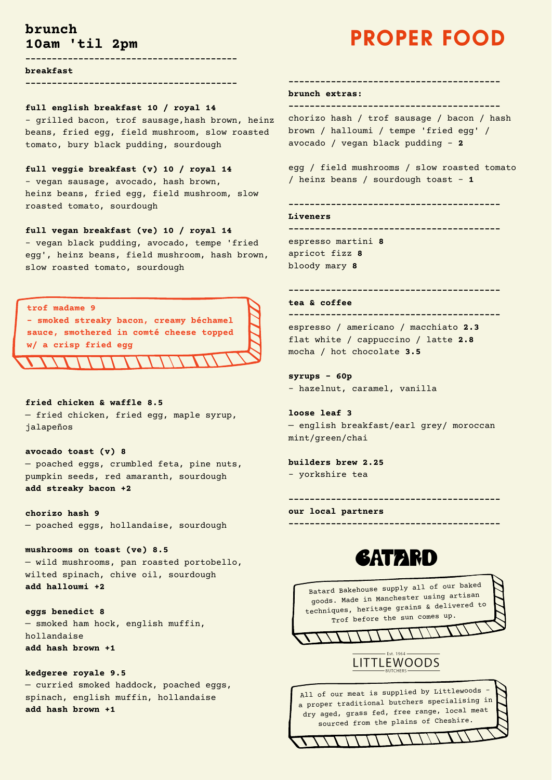**----------------------------------------**

**breakfast**

**----------------------------------------**

#### **full english breakfast 10 / royal 14**

- grilled bacon, trof sausage,hash brown, heinz beans, fried egg, field mushroom, slow roasted tomato, bury black pudding, sourdough

### **full veggie breakfast (v) 10 / royal 14**

- vegan sausage, avocado, hash brown, heinz beans, fried egg, field mushroom, slow roasted tomato, sourdough

### **full vegan breakfast (ve) 10 / royal 14**

- vegan black pudding, avocado, tempe 'fried egg', heinz beans, field mushroom, hash brown, slow roasted tomato, sourdough

# **fried chicken & waffle 8.5** — fried chicken, fried egg, maple syrup, jalapeños

**avocado toast (v) 8** — poached eggs, crumbled feta, pine nuts, pumpkin seeds, red amaranth, sourdough **add streaky bacon +2**

**chorizo hash 9** — poached eggs, hollandaise, sourdough

# **mushrooms on toast (ve) 8.5** — wild mushrooms, pan roasted portobello, wilted spinach, chive oil, sourdough **add halloumi +2**

#### **eggs benedict 8**

— smoked ham hock, english muffin, hollandaise

**add hash brown +1**

**kedgeree royale 9.5**

— curried smoked haddock, poached eggs, spinach, english muffin, hollandaise **add hash brown +1**



**----------------------------------------**

#### **brunch extras:**

**----------------------------------------**

chorizo hash / trof sausage / bacon / hash brown / halloumi / tempe 'fried egg' / avocado / vegan black pudding - **2**

egg / field mushrooms / slow roasted tomato / heinz beans / sourdough toast - **1**

**----------------------------------------**

#### **Liveners**

**---------------------------------------** espresso martini **8** apricot fizz **8** bloody mary **8**

**----------------------------------------**

#### **tea & coffee**

**---------------------------------------** espresso / americano / macchiato **2.3** flat white / cappuccino / latte **2.8** mocha / hot chocolate **3.5**

## **syrups - 60p** - hazelnut, caramel, vanilla

**loose leaf 3** — english breakfast/earl grey/ moroccan mint/green/chai

**builders brew 2.25** - yorkshire tea

**----------------------------------------**

**our local partners**

# **GATARD**

**----------------------------------------**



# **brunch 10am 'til 2pm**

# **PROPER FOOD**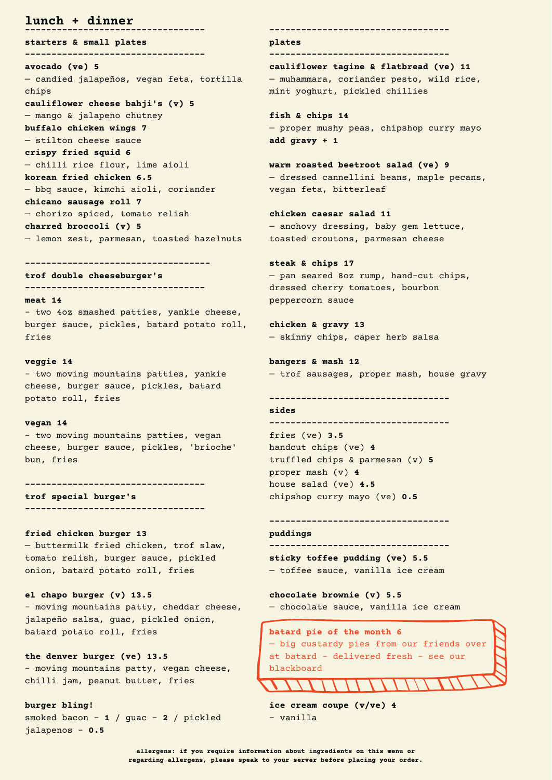**----------------------------------**

**starters & small plates**

#### **----------------------------------**

**avocado (ve) 5** — candied jalapeños, vegan feta, tortilla chips **cauliflower cheese bahji's (v) 5** — mango & jalapeno chutney **buffalo chicken wings 7** — stilton cheese sauce **crispy fried squid 6** — chilli rice flour, lime aioli **korean fried chicken 6.5** — bbq sauce, kimchi aioli, coriander **chicano sausage roll 7** — chorizo spiced, tomato relish **charred broccoli (v) 5** — lemon zest, parmesan, toasted hazelnuts

#### **-----------------------------------**

**trof double cheeseburger's ----------------------------------**

#### **meat 14**

- two 4oz smashed patties, yankie cheese, burger sauce, pickles, batard potato roll, fries

#### **veggie 14**

- two moving mountains patties, yankie cheese, burger sauce, pickles, batard potato roll, fries

#### **vegan 14**

- two moving mountains patties, vegan cheese, burger sauce, pickles, 'brioche' bun, fries

**----------------------------------**

**trof special burger's**

**----------------------------------**

#### **fried chicken burger 13**

— buttermilk fried chicken, trof slaw, tomato relish, burger sauce, pickled onion, batard potato roll, fries

**el chapo burger (v) 13.5**

- moving mountains patty, cheddar cheese, jalapeño salsa, guac, pickled onion, batard potato roll, fries

**the denver burger (ve) 13.5** - moving mountains patty, vegan cheese, chilli jam, peanut butter, fries

```
burger bling!
```

```
smoked bacon - 1 / guac - 2 / pickled
jalapenos - 0.5
```
**----------------------------------**

#### **plates**

**----------------------------------**

**cauliflower tagine & flatbread (ve) 11** — muhammara, coriander pesto, wild rice, mint yoghurt, pickled chillies

**fish & chips 14** — proper mushy peas, chipshop curry mayo **add gravy + 1**

**warm roasted beetroot salad (ve) 9** — dressed cannellini beans, maple pecans, vegan feta, bitterleaf

**chicken caesar salad 11** — anchovy dressing, baby gem lettuce, toasted croutons, parmesan cheese

**steak & chips 17** — pan seared 8oz rump, hand-cut chips, dressed cherry tomatoes, bourbon peppercorn sauce

**chicken & gravy 13** — skinny chips, caper herb salsa

**bangers & mash 12** — trof sausages, proper mash, house gravy

**----------------------------------**

#### **sides**

**---------------------------------** fries (ve) **3.5** handcut chips (ve) **4** truffled chips & parmesan (v) **5** proper mash (v) **4** house salad (ve) **4.5** chipshop curry mayo (ve) **0.5**

# **----------------------------------**

**puddings ----------------------------------**

**sticky toffee pudding (ve) 5.5** — toffee sauce, vanilla ice cream

**chocolate brownie (v) 5.5**

— chocolate sauce, vanilla ice cream



```
ice cream coupe (v/ve) 4
```

```
- vanilla
```
# **lunch + dinner**

**allergens: if you require information about ingredients on this menu or regarding allergens, please speak to your server before placing your order.**